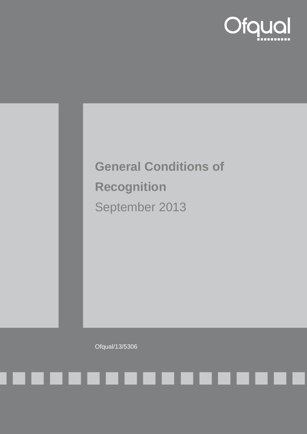

# **General Conditions of Recognition** September 2013

Ofqual/13/5306

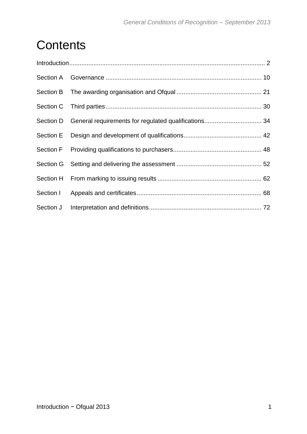## **Contents**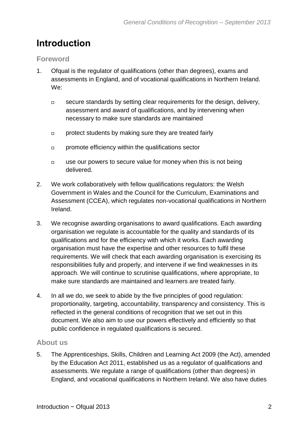## <span id="page-2-0"></span>**Introduction**

#### **Foreword**

- 1. Ofqual is the regulator of qualifications (other than degrees), exams and assessments in England, and of vocational qualifications in Northern Ireland. We:
	- $\Box$  secure standards by setting clear requirements for the design, delivery, assessment and award of qualifications, and by intervening when necessary to make sure standards are maintained
	- protect students by making sure they are treated fairly
	- **promote efficiency within the qualifications sector**
	- $\Box$  use our powers to secure value for money when this is not being delivered.
- 2. We work collaboratively with fellow qualifications regulators: the Welsh Government in Wales and the Council for the Curriculum, Examinations and Assessment (CCEA), which regulates non-vocational qualifications in Northern Ireland.
- 3. We recognise awarding organisations to award qualifications. Each awarding organisation we regulate is accountable for the quality and standards of its qualifications and for the efficiency with which it works. Each awarding organisation must have the expertise and other resources to fulfil these requirements. We will check that each awarding organisation is exercising its responsibilities fully and properly, and intervene if we find weaknesses in its approach. We will continue to scrutinise qualifications, where appropriate, to make sure standards are maintained and learners are treated fairly.
- 4. In all we do, we seek to abide by the five principles of good regulation: proportionality, targeting, accountability, transparency and consistency. This is reflected in the general conditions of recognition that we set out in this document. We also aim to use our powers effectively and efficiently so that public confidence in regulated qualifications is secured.

#### **About us**

5. The Apprenticeships, Skills, Children and Learning Act 2009 (the Act), amended by the Education Act 2011, established us as a regulator of qualifications and assessments. We regulate a range of qualifications (other than degrees) in England, and vocational qualifications in Northern Ireland. We also have duties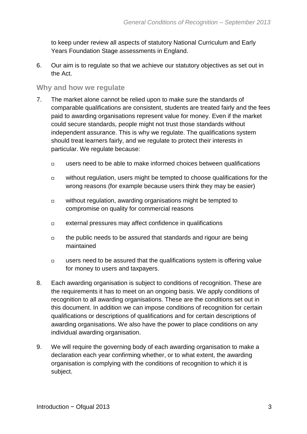to keep under review all aspects of statutory National Curriculum and Early Years Foundation Stage assessments in England.

6. Our aim is to regulate so that we achieve our statutory objectives as set out in the Act.

#### **Why and how we regulate**

- 7. The market alone cannot be relied upon to make sure the standards of comparable qualifications are consistent, students are treated fairly and the fees paid to awarding organisations represent value for money. Even if the market could secure standards, people might not trust those standards without independent assurance. This is why we regulate. The qualifications system should treat learners fairly, and we regulate to protect their interests in particular. We regulate because:
	- $\Box$  users need to be able to make informed choices between qualifications
	- $\Box$  without regulation, users might be tempted to choose qualifications for the wrong reasons (for example because users think they may be easier)
	- $\Box$  without regulation, awarding organisations might be tempted to compromise on quality for commercial reasons
	- external pressures may affect confidence in qualifications
	- $\Box$  the public needs to be assured that standards and rigour are being maintained
	- $\Box$  users need to be assured that the qualifications system is offering value for money to users and taxpayers.
- 8. Each awarding organisation is subject to conditions of recognition. These are the requirements it has to meet on an ongoing basis. We apply conditions of recognition to all awarding organisations. These are the conditions set out in this document. In addition we can impose conditions of recognition for certain qualifications or descriptions of qualifications and for certain descriptions of awarding organisations. We also have the power to place conditions on any individual awarding organisation.
- 9. We will require the governing body of each awarding organisation to make a declaration each year confirming whether, or to what extent, the awarding organisation is complying with the conditions of recognition to which it is subject.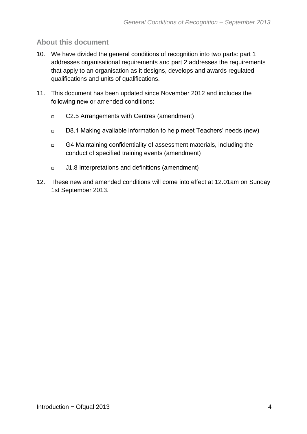#### **About this document**

- 10. We have divided the general conditions of recognition into two parts: part 1 addresses organisational requirements and part 2 addresses the requirements that apply to an organisation as it designs, develops and awards regulated qualifications and units of qualifications.
- 11. This document has been updated since November 2012 and includes the following new or amended conditions:
	- C2.5 Arrangements with Centres (amendment)
	- D8.1 Making available information to help meet Teachers' needs (new)
	- G4 Maintaining confidentiality of assessment materials, including the conduct of specified training events (amendment)
	- J1.8 Interpretations and definitions (amendment)
- 12. These new and amended conditions will come into effect at 12.01am on Sunday 1st September 2013.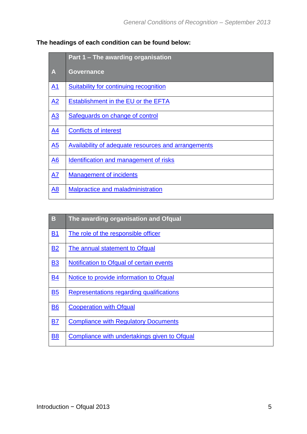|  |  | The headings of each condition can be found below: |  |  |
|--|--|----------------------------------------------------|--|--|
|--|--|----------------------------------------------------|--|--|

|                  | Part 1 – The awarding organisation                         |
|------------------|------------------------------------------------------------|
| A                | <b>Governance</b>                                          |
| A1               | <b>Suitability for continuing recognition</b>              |
| A2               | <b>Establishment in the EU or the EFTA</b>                 |
| A3               | <b>Safeguards on change of control</b>                     |
| A <sub>4</sub>   | <b>Conflicts of interest</b>                               |
| A5               | <b>Availability of adequate resources and arrangements</b> |
| $\underline{A6}$ | Identification and management of risks                     |
| A7               | <b>Management of incidents</b>                             |
| A <sub>8</sub>   | Malpractice and maladministration                          |

| B         | The awarding organisation and Ofqual         |
|-----------|----------------------------------------------|
| <u>B1</u> | The role of the responsible officer          |
| <b>B2</b> | The annual statement to Ofqual               |
| <b>B3</b> | Notification to Ofqual of certain events     |
| <b>B4</b> | Notice to provide information to Ofqual      |
| <b>B5</b> | Representations regarding qualifications     |
| <b>B6</b> | <b>Cooperation with Ofqual</b>               |
| <b>B7</b> | <b>Compliance with Regulatory Documents</b>  |
| <b>B8</b> | Compliance with undertakings given to Ofqual |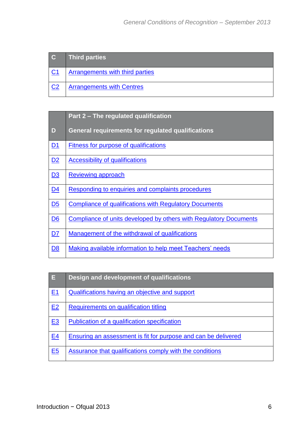| $\overline{\mathbf{c}}$ | <b>Third parties</b>             |
|-------------------------|----------------------------------|
| C <sub>1</sub>          | Arrangements with third parties  |
| C <sub>2</sub>          | <b>Arrangements with Centres</b> |

|                | Part 2 – The regulated qualification                              |
|----------------|-------------------------------------------------------------------|
| D              | <b>General requirements for regulated qualifications</b>          |
| D1             | <b>Fitness for purpose of qualifications</b>                      |
| D2             | <b>Accessibility of qualifications</b>                            |
| D3             | <b>Reviewing approach</b>                                         |
| D4             | Responding to enquiries and complaints procedures                 |
| D <sub>5</sub> | <b>Compliance of qualifications with Regulatory Documents</b>     |
| D6             | Compliance of units developed by others with Regulatory Documents |
| D7             | Management of the withdrawal of qualifications                    |
| <u>D8</u>      | Making available information to help meet Teachers' needs         |

| E              | Design and development of qualifications                       |
|----------------|----------------------------------------------------------------|
| E <sub>1</sub> | Qualifications having an objective and support                 |
| E2             | <b>Requirements on qualification titling</b>                   |
| E <sub>3</sub> | Publication of a qualification specification                   |
| E <sub>4</sub> | Ensuring an assessment is fit for purpose and can be delivered |
| E <sub>5</sub> | Assurance that qualifications comply with the conditions       |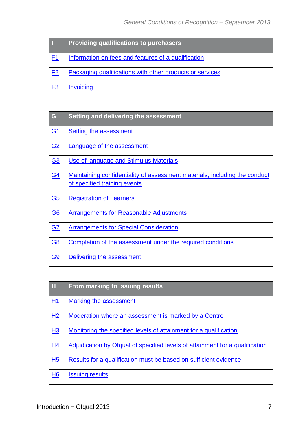| I E            | <b>Providing qualifications to purchasers</b>            |
|----------------|----------------------------------------------------------|
| F <sub>1</sub> | Information on fees and features of a qualification      |
| F <sub>2</sub> | Packaging qualifications with other products or services |
| <u>F3</u>      | <b>Invoicing</b>                                         |

| G                | Setting and delivering the assessment                                                                      |
|------------------|------------------------------------------------------------------------------------------------------------|
| G <sub>1</sub>   | <b>Setting the assessment</b>                                                                              |
| G <sub>2</sub>   | <b>Language of the assessment</b>                                                                          |
| G <sub>3</sub>   | Use of language and Stimulus Materials                                                                     |
| <b>G4</b>        | Maintaining confidentiality of assessment materials, including the conduct<br>of specified training events |
| G <sub>5</sub>   | <b>Registration of Learners</b>                                                                            |
| $\underline{G6}$ | <b>Arrangements for Reasonable Adjustments</b>                                                             |
| G <sub>7</sub>   | <b>Arrangements for Special Consideration</b>                                                              |
| <b>G8</b>        | Completion of the assessment under the required conditions                                                 |
| <b>G9</b>        | Delivering the assessment                                                                                  |

| H              | From marking to issuing results                                              |
|----------------|------------------------------------------------------------------------------|
| H1             | Marking the assessment                                                       |
| H <sub>2</sub> | Moderation where an assessment is marked by a Centre                         |
| H3             | Monitoring the specified levels of attainment for a qualification            |
| H <sub>4</sub> | Adjudication by Ofqual of specified levels of attainment for a qualification |
| H <sub>5</sub> | Results for a qualification must be based on sufficient evidence             |
| H <sub>6</sub> | <b>Issuing results</b>                                                       |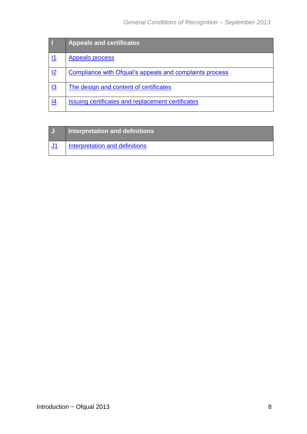|            | <b>Appeals and certificates</b>                         |
|------------|---------------------------------------------------------|
|            | <b>Appeals process</b>                                  |
| <u>12</u>  | Compliance with Ofqual's appeals and complaints process |
| <u>I3</u>  | The design and content of certificates                  |
| <u> 14</u> | Issuing certificates and replacement certificates       |

| IJ | Interpretation and definitions |
|----|--------------------------------|
|    | Interpretation and definitions |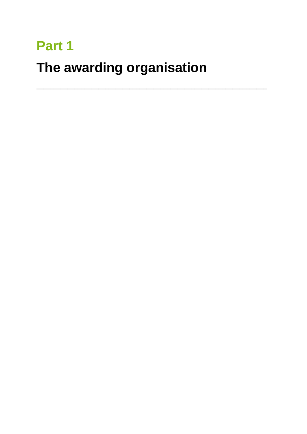## Part 1

## The awarding organisation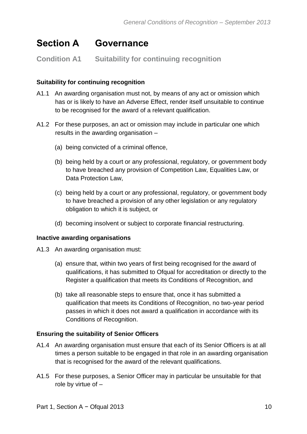### <span id="page-10-0"></span>**Section A Governance**

#### <span id="page-10-1"></span>**Condition A1 Suitability for continuing recognition**

#### **Suitability for continuing recognition**

- A1.1 An awarding organisation must not, by means of any act or omission which has or is likely to have an Adverse Effect, render itself unsuitable to continue to be recognised for the award of a relevant qualification.
- A1.2 For these purposes, an act or omission may include in particular one which results in the awarding organisation –
	- (a) being convicted of a criminal offence,
	- (b) being held by a court or any professional, regulatory, or government body to have breached any provision of Competition Law, Equalities Law, or Data Protection Law,
	- (c) being held by a court or any professional, regulatory, or government body to have breached a provision of any other legislation or any regulatory obligation to which it is subject, or
	- (d) becoming insolvent or subject to corporate financial restructuring.

#### **Inactive awarding organisations**

A1.3 An awarding organisation must:

- (a) ensure that, within two years of first being recognised for the award of qualifications, it has submitted to Ofqual for accreditation or directly to the Register a qualification that meets its Conditions of Recognition, and
- (b) take all reasonable steps to ensure that, once it has submitted a qualification that meets its Conditions of Recognition, no two-year period passes in which it does not award a qualification in accordance with its Conditions of Recognition.

#### **Ensuring the suitability of Senior Officers**

- A1.4 An awarding organisation must ensure that each of its Senior Officers is at all times a person suitable to be engaged in that role in an awarding organisation that is recognised for the award of the relevant qualifications.
- A1.5 For these purposes, a Senior Officer may in particular be unsuitable for that role by virtue of –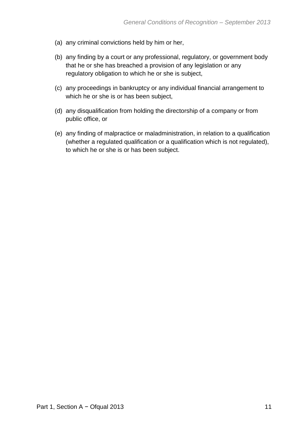- (a) any criminal convictions held by him or her,
- (b) any finding by a court or any professional, regulatory, or government body that he or she has breached a provision of any legislation or any regulatory obligation to which he or she is subject,
- (c) any proceedings in bankruptcy or any individual financial arrangement to which he or she is or has been subject,
- (d) any disqualification from holding the directorship of a company or from public office, or
- (e) any finding of malpractice or maladministration, in relation to a qualification (whether a regulated qualification or a qualification which is not regulated), to which he or she is or has been subject.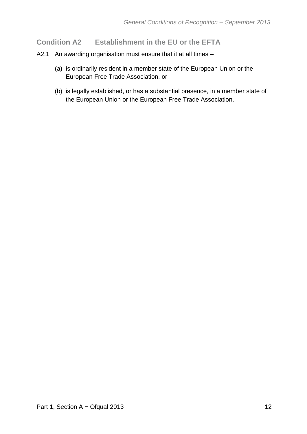#### <span id="page-12-0"></span>**Condition A2 Establishment in the EU or the EFTA**

- A2.1 An awarding organisation must ensure that it at all times
	- (a) is ordinarily resident in a member state of the European Union or the European Free Trade Association, or
	- (b) is legally established, or has a substantial presence, in a member state of the European Union or the European Free Trade Association.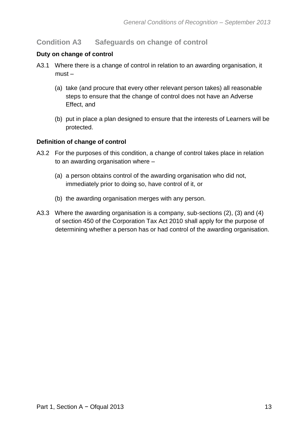#### <span id="page-13-0"></span>**Condition A3 Safeguards on change of control**

#### **Duty on change of control**

- A3.1 Where there is a change of control in relation to an awarding organisation, it must –
	- (a) take (and procure that every other relevant person takes) all reasonable steps to ensure that the change of control does not have an Adverse Effect, and
	- (b) put in place a plan designed to ensure that the interests of Learners will be protected.

#### **Definition of change of control**

- A3.2 For the purposes of this condition, a change of control takes place in relation to an awarding organisation where –
	- (a) a person obtains control of the awarding organisation who did not, immediately prior to doing so, have control of it, or
	- (b) the awarding organisation merges with any person.
- A3.3 Where the awarding organisation is a company, sub-sections (2), (3) and (4) of section 450 of the Corporation Tax Act 2010 shall apply for the purpose of determining whether a person has or had control of the awarding organisation.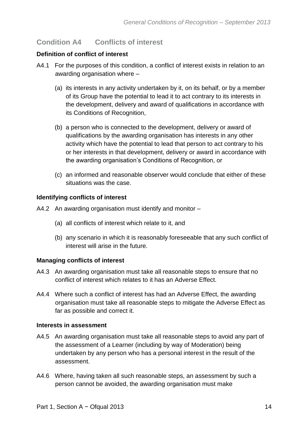#### <span id="page-14-0"></span>**Condition A4 Conflicts of interest**

#### **Definition of conflict of interest**

- A4.1 For the purposes of this condition, a conflict of interest exists in relation to an awarding organisation where –
	- (a) its interests in any activity undertaken by it, on its behalf, or by a member of its Group have the potential to lead it to act contrary to its interests in the development, delivery and award of qualifications in accordance with its Conditions of Recognition,
	- (b) a person who is connected to the development, delivery or award of qualifications by the awarding organisation has interests in any other activity which have the potential to lead that person to act contrary to his or her interests in that development, delivery or award in accordance with the awarding organisation's Conditions of Recognition, or
	- (c) an informed and reasonable observer would conclude that either of these situations was the case.

#### **Identifying conflicts of interest**

- A4.2 An awarding organisation must identify and monitor
	- (a) all conflicts of interest which relate to it, and
	- (b) any scenario in which it is reasonably foreseeable that any such conflict of interest will arise in the future.

#### **Managing conflicts of interest**

- A4.3 An awarding organisation must take all reasonable steps to ensure that no conflict of interest which relates to it has an Adverse Effect.
- A4.4 Where such a conflict of interest has had an Adverse Effect, the awarding organisation must take all reasonable steps to mitigate the Adverse Effect as far as possible and correct it.

#### **Interests in assessment**

- A4.5 An awarding organisation must take all reasonable steps to avoid any part of the assessment of a Learner (including by way of Moderation) being undertaken by any person who has a personal interest in the result of the assessment.
- A4.6 Where, having taken all such reasonable steps, an assessment by such a person cannot be avoided, the awarding organisation must make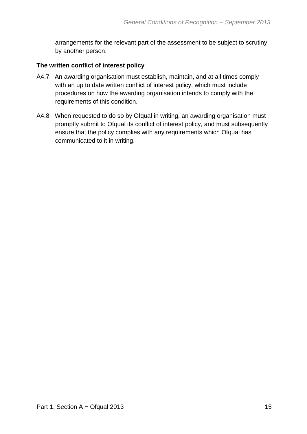arrangements for the relevant part of the assessment to be subject to scrutiny by another person.

#### **The written conflict of interest policy**

- A4.7 An awarding organisation must establish, maintain, and at all times comply with an up to date written conflict of interest policy, which must include procedures on how the awarding organisation intends to comply with the requirements of this condition.
- A4.8 When requested to do so by Ofqual in writing, an awarding organisation must promptly submit to Ofqual its conflict of interest policy, and must subsequently ensure that the policy complies with any requirements which Ofqual has communicated to it in writing.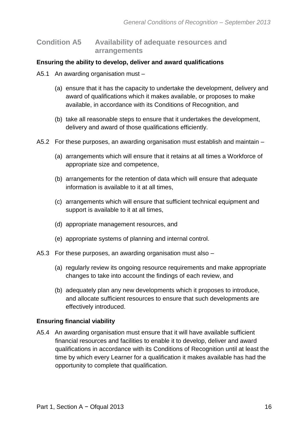<span id="page-16-0"></span>**Condition A5 Availability of adequate resources and arrangements** 

#### **Ensuring the ability to develop, deliver and award qualifications**

- A5.1 An awarding organisation must
	- (a) ensure that it has the capacity to undertake the development, delivery and award of qualifications which it makes available, or proposes to make available, in accordance with its Conditions of Recognition, and
	- (b) take all reasonable steps to ensure that it undertakes the development, delivery and award of those qualifications efficiently.
- A5.2 For these purposes, an awarding organisation must establish and maintain
	- (a) arrangements which will ensure that it retains at all times a Workforce of appropriate size and competence,
	- (b) arrangements for the retention of data which will ensure that adequate information is available to it at all times,
	- (c) arrangements which will ensure that sufficient technical equipment and support is available to it at all times,
	- (d) appropriate management resources, and
	- (e) appropriate systems of planning and internal control.
- A5.3 For these purposes, an awarding organisation must also
	- (a) regularly review its ongoing resource requirements and make appropriate changes to take into account the findings of each review, and
	- (b) adequately plan any new developments which it proposes to introduce, and allocate sufficient resources to ensure that such developments are effectively introduced.

#### **Ensuring financial viability**

A5.4 An awarding organisation must ensure that it will have available sufficient financial resources and facilities to enable it to develop, deliver and award qualifications in accordance with its Conditions of Recognition until at least the time by which every Learner for a qualification it makes available has had the opportunity to complete that qualification.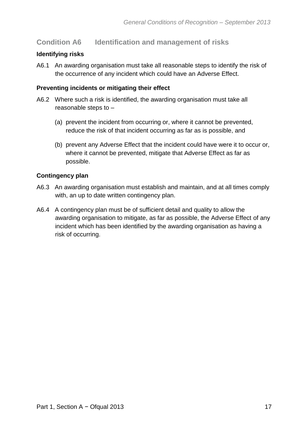#### <span id="page-17-0"></span>**Condition A6 Identification and management of risks**

#### **Identifying risks**

A6.1 An awarding organisation must take all reasonable steps to identify the risk of the occurrence of any incident which could have an Adverse Effect.

#### **Preventing incidents or mitigating their effect**

- A6.2 Where such a risk is identified, the awarding organisation must take all reasonable steps to –
	- (a) prevent the incident from occurring or, where it cannot be prevented, reduce the risk of that incident occurring as far as is possible, and
	- (b) prevent any Adverse Effect that the incident could have were it to occur or, where it cannot be prevented, mitigate that Adverse Effect as far as possible.

#### **Contingency plan**

- A6.3 An awarding organisation must establish and maintain, and at all times comply with, an up to date written contingency plan.
- A6.4 A contingency plan must be of sufficient detail and quality to allow the awarding organisation to mitigate, as far as possible, the Adverse Effect of any incident which has been identified by the awarding organisation as having a risk of occurring.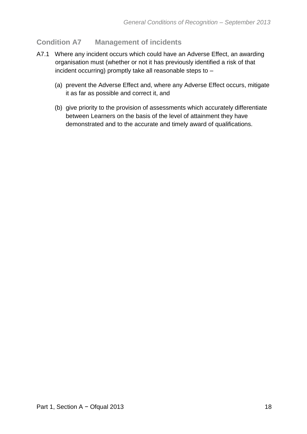#### <span id="page-18-0"></span>**Condition A7 Management of incidents**

- A7.1 Where any incident occurs which could have an Adverse Effect, an awarding organisation must (whether or not it has previously identified a risk of that incident occurring) promptly take all reasonable steps to –
	- (a) prevent the Adverse Effect and, where any Adverse Effect occurs, mitigate it as far as possible and correct it, and
	- (b) give priority to the provision of assessments which accurately differentiate between Learners on the basis of the level of attainment they have demonstrated and to the accurate and timely award of qualifications.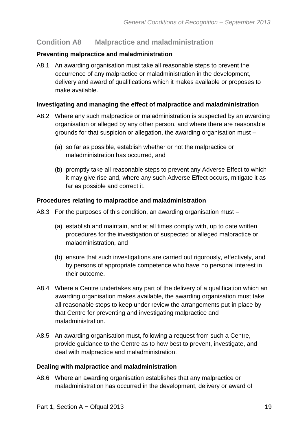#### <span id="page-19-0"></span>**Condition A8 Malpractice and maladministration**

#### **Preventing malpractice and maladministration**

A8.1 An awarding organisation must take all reasonable steps to prevent the occurrence of any malpractice or maladministration in the development, delivery and award of qualifications which it makes available or proposes to make available.

#### **Investigating and managing the effect of malpractice and maladministration**

- A8.2 Where any such malpractice or maladministration is suspected by an awarding organisation or alleged by any other person, and where there are reasonable grounds for that suspicion or allegation, the awarding organisation must –
	- (a) so far as possible, establish whether or not the malpractice or maladministration has occurred, and
	- (b) promptly take all reasonable steps to prevent any Adverse Effect to which it may give rise and, where any such Adverse Effect occurs, mitigate it as far as possible and correct it.

#### **Procedures relating to malpractice and maladministration**

- A8.3 For the purposes of this condition, an awarding organisation must
	- (a) establish and maintain, and at all times comply with, up to date written procedures for the investigation of suspected or alleged malpractice or maladministration, and
	- (b) ensure that such investigations are carried out rigorously, effectively, and by persons of appropriate competence who have no personal interest in their outcome.
- A8.4 Where a Centre undertakes any part of the delivery of a qualification which an awarding organisation makes available, the awarding organisation must take all reasonable steps to keep under review the arrangements put in place by that Centre for preventing and investigating malpractice and maladministration.
- A8.5 An awarding organisation must, following a request from such a Centre, provide guidance to the Centre as to how best to prevent, investigate, and deal with malpractice and maladministration.

#### **Dealing with malpractice and maladministration**

A8.6 Where an awarding organisation establishes that any malpractice or maladministration has occurred in the development, delivery or award of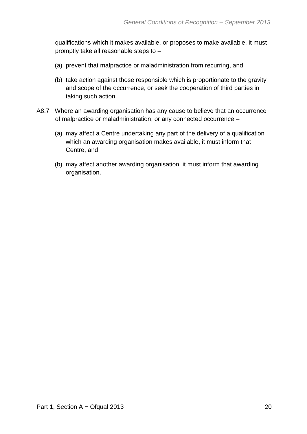qualifications which it makes available, or proposes to make available, it must promptly take all reasonable steps to –

- (a) prevent that malpractice or maladministration from recurring, and
- (b) take action against those responsible which is proportionate to the gravity and scope of the occurrence, or seek the cooperation of third parties in taking such action.
- A8.7 Where an awarding organisation has any cause to believe that an occurrence of malpractice or maladministration, or any connected occurrence –
	- (a) may affect a Centre undertaking any part of the delivery of a qualification which an awarding organisation makes available, it must inform that Centre, and
	- (b) may affect another awarding organisation, it must inform that awarding organisation.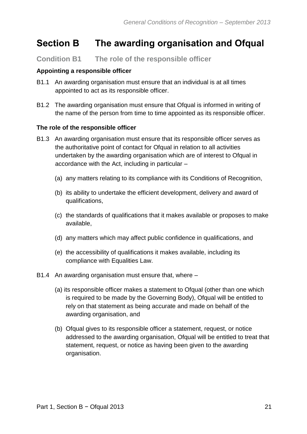### <span id="page-21-0"></span>**Section B The awarding organisation and Ofqual**

#### <span id="page-21-1"></span>**Condition B1 The role of the responsible officer**

#### **Appointing a responsible officer**

- B1.1 An awarding organisation must ensure that an individual is at all times appointed to act as its responsible officer.
- B1.2 The awarding organisation must ensure that Ofqual is informed in writing of the name of the person from time to time appointed as its responsible officer.

#### **The role of the responsible officer**

- B1.3 An awarding organisation must ensure that its responsible officer serves as the authoritative point of contact for Ofqual in relation to all activities undertaken by the awarding organisation which are of interest to Ofqual in accordance with the Act, including in particular –
	- (a) any matters relating to its compliance with its Conditions of Recognition,
	- (b) its ability to undertake the efficient development, delivery and award of qualifications,
	- (c) the standards of qualifications that it makes available or proposes to make available,
	- (d) any matters which may affect public confidence in qualifications, and
	- (e) the accessibility of qualifications it makes available, including its compliance with Equalities Law.
- B1.4 An awarding organisation must ensure that, where
	- (a) its responsible officer makes a statement to Ofqual (other than one which is required to be made by the Governing Body), Ofqual will be entitled to rely on that statement as being accurate and made on behalf of the awarding organisation, and
	- (b) Ofqual gives to its responsible officer a statement, request, or notice addressed to the awarding organisation, Ofqual will be entitled to treat that statement, request, or notice as having been given to the awarding organisation.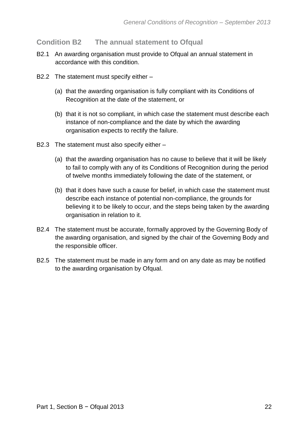#### <span id="page-22-0"></span>**Condition B2 The annual statement to Ofqual**

- B2.1 An awarding organisation must provide to Ofqual an annual statement in accordance with this condition.
- B2.2 The statement must specify either
	- (a) that the awarding organisation is fully compliant with its Conditions of Recognition at the date of the statement, or
	- (b) that it is not so compliant, in which case the statement must describe each instance of non-compliance and the date by which the awarding organisation expects to rectify the failure.
- B2.3 The statement must also specify either
	- (a) that the awarding organisation has no cause to believe that it will be likely to fail to comply with any of its Conditions of Recognition during the period of twelve months immediately following the date of the statement, or
	- (b) that it does have such a cause for belief, in which case the statement must describe each instance of potential non-compliance, the grounds for believing it to be likely to occur, and the steps being taken by the awarding organisation in relation to it.
- B2.4 The statement must be accurate, formally approved by the Governing Body of the awarding organisation, and signed by the chair of the Governing Body and the responsible officer.
- B2.5 The statement must be made in any form and on any date as may be notified to the awarding organisation by Ofqual.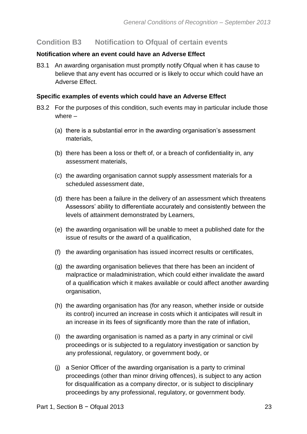#### <span id="page-23-0"></span>**Condition B3 Notification to Ofqual of certain events**

#### **Notification where an event could have an Adverse Effect**

B3.1 An awarding organisation must promptly notify Ofqual when it has cause to believe that any event has occurred or is likely to occur which could have an Adverse Effect.

#### **Specific examples of events which could have an Adverse Effect**

- B3.2 For the purposes of this condition, such events may in particular include those where –
	- (a) there is a substantial error in the awarding organisation's assessment materials,
	- (b) there has been a loss or theft of, or a breach of confidentiality in, any assessment materials,
	- (c) the awarding organisation cannot supply assessment materials for a scheduled assessment date,
	- (d) there has been a failure in the delivery of an assessment which threatens Assessors' ability to differentiate accurately and consistently between the levels of attainment demonstrated by Learners,
	- (e) the awarding organisation will be unable to meet a published date for the issue of results or the award of a qualification,
	- (f) the awarding organisation has issued incorrect results or certificates,
	- (g) the awarding organisation believes that there has been an incident of malpractice or maladministration, which could either invalidate the award of a qualification which it makes available or could affect another awarding organisation,
	- (h) the awarding organisation has (for any reason, whether inside or outside its control) incurred an increase in costs which it anticipates will result in an increase in its fees of significantly more than the rate of inflation,
	- (i) the awarding organisation is named as a party in any criminal or civil proceedings or is subjected to a regulatory investigation or sanction by any professional, regulatory, or government body, or
	- (j) a Senior Officer of the awarding organisation is a party to criminal proceedings (other than minor driving offences), is subject to any action for disqualification as a company director, or is subject to disciplinary proceedings by any professional, regulatory, or government body.**23**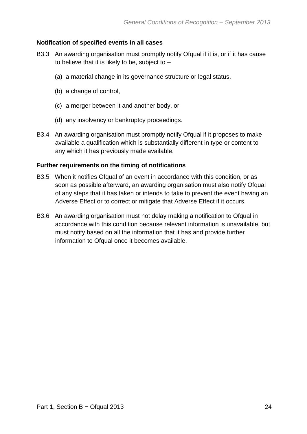#### **Notification of specified events in all cases**

- B3.3 An awarding organisation must promptly notify Ofqual if it is, or if it has cause to believe that it is likely to be, subject to  $-$ 
	- (a) a material change in its governance structure or legal status,
	- (b) a change of control,
	- (c) a merger between it and another body, or
	- (d) any insolvency or bankruptcy proceedings.
- B3.4 An awarding organisation must promptly notify Ofqual if it proposes to make available a qualification which is substantially different in type or content to any which it has previously made available.

#### **Further requirements on the timing of notifications**

- B3.5 When it notifies Ofqual of an event in accordance with this condition, or as soon as possible afterward, an awarding organisation must also notify Ofqual of any steps that it has taken or intends to take to prevent the event having an Adverse Effect or to correct or mitigate that Adverse Effect if it occurs.
- B3.6 An awarding organisation must not delay making a notification to Ofqual in accordance with this condition because relevant information is unavailable, but must notify based on all the information that it has and provide further information to Ofqual once it becomes available.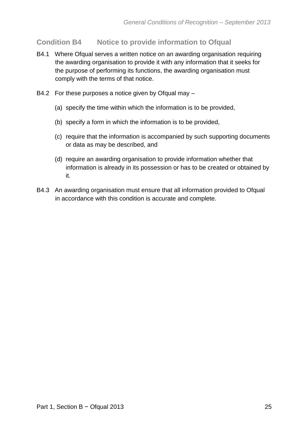<span id="page-25-0"></span>**Condition B4 Notice to provide information to Ofqual**

- B4.1 Where Ofqual serves a written notice on an awarding organisation requiring the awarding organisation to provide it with any information that it seeks for the purpose of performing its functions, the awarding organisation must comply with the terms of that notice.
- B4.2 For these purposes a notice given by Ofqual may
	- (a) specify the time within which the information is to be provided,
	- (b) specify a form in which the information is to be provided,
	- (c) require that the information is accompanied by such supporting documents or data as may be described, and
	- (d) require an awarding organisation to provide information whether that information is already in its possession or has to be created or obtained by it.
- B4.3 An awarding organisation must ensure that all information provided to Ofqual in accordance with this condition is accurate and complete.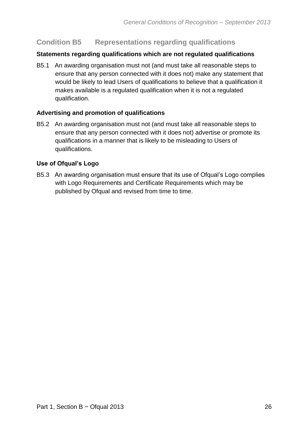#### **Condition B5 Representations regarding qualifications**

#### **Statements regarding qualifications which are not regulated qualifications**

B5.1 An awarding organisation must not (and must take all reasonable steps to ensure that any person connected with it does not) make any statement that would be likely to lead Users of qualifications to believe that a qualification it makes available is a regulated qualification when it is not a regulated qualification.

#### **Advertising and promotion of qualifications**

B5.2 An awarding organisation must not (and must take all reasonable steps to ensure that any person connected with it does not) advertise or promote its qualifications in a manner that is likely to be misleading to Users of qualifications.

#### **Use of Ofqual's Logo**

B5.3 An awarding organisation must ensure that its use of Ofqual's Logo complies with Logo Requirements and Certificate Requirements which may be published by Ofqual and revised from time to time.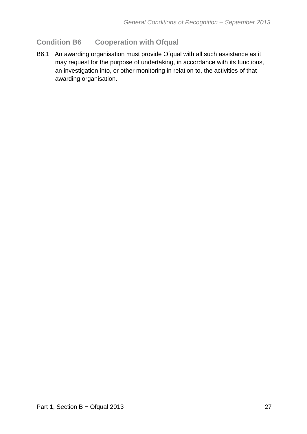#### <span id="page-27-0"></span>**Condition B6 Cooperation with Ofqual**

B6.1 An awarding organisation must provide Ofqual with all such assistance as it may request for the purpose of undertaking, in accordance with its functions, an investigation into, or other monitoring in relation to, the activities of that awarding organisation.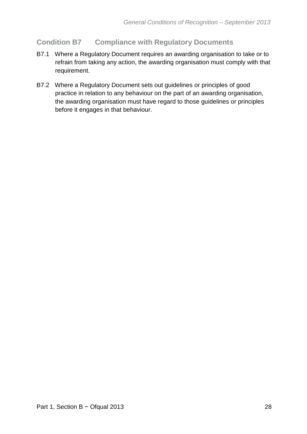#### <span id="page-28-0"></span>**Condition B7 Compliance with Regulatory Documents**

- B7.1 Where a Regulatory Document requires an awarding organisation to take or to refrain from taking any action, the awarding organisation must comply with that requirement.
- B7.2 Where a Regulatory Document sets out guidelines or principles of good practice in relation to any behaviour on the part of an awarding organisation, the awarding organisation must have regard to those guidelines or principles before it engages in that behaviour.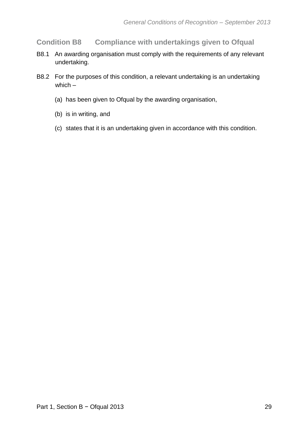<span id="page-29-0"></span>**Condition B8 Compliance with undertakings given to Ofqual**

- B8.1 An awarding organisation must comply with the requirements of any relevant undertaking.
- B8.2 For the purposes of this condition, a relevant undertaking is an undertaking which –
	- (a) has been given to Ofqual by the awarding organisation,
	- (b) is in writing, and
	- (c) states that it is an undertaking given in accordance with this condition.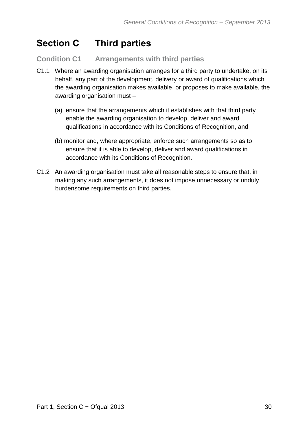## <span id="page-30-0"></span>**Section C Third parties**

#### <span id="page-30-1"></span>**Condition C1 Arrangements with third parties**

- C1.1 Where an awarding organisation arranges for a third party to undertake, on its behalf, any part of the development, delivery or award of qualifications which the awarding organisation makes available, or proposes to make available, the awarding organisation must –
	- (a) ensure that the arrangements which it establishes with that third party enable the awarding organisation to develop, deliver and award qualifications in accordance with its Conditions of Recognition, and
	- (b) monitor and, where appropriate, enforce such arrangements so as to ensure that it is able to develop, deliver and award qualifications in accordance with its Conditions of Recognition.
- C1.2 An awarding organisation must take all reasonable steps to ensure that, in making any such arrangements, it does not impose unnecessary or unduly burdensome requirements on third parties.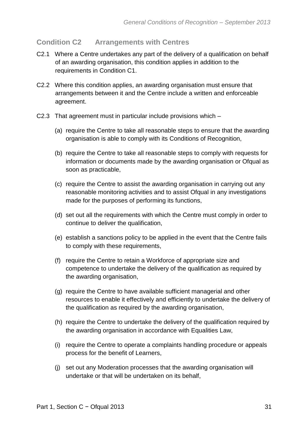#### <span id="page-31-0"></span>**Condition C2 Arrangements with Centres**

- C2.1 Where a Centre undertakes any part of the delivery of a qualification on behalf of an awarding organisation, this condition applies in addition to the requirements in Condition C1.
- C2.2 Where this condition applies, an awarding organisation must ensure that arrangements between it and the Centre include a written and enforceable agreement.
- C2.3 That agreement must in particular include provisions which
	- (a) require the Centre to take all reasonable steps to ensure that the awarding organisation is able to comply with its Conditions of Recognition,
	- (b) require the Centre to take all reasonable steps to comply with requests for information or documents made by the awarding organisation or Ofqual as soon as practicable,
	- (c) require the Centre to assist the awarding organisation in carrying out any reasonable monitoring activities and to assist Ofqual in any investigations made for the purposes of performing its functions,
	- (d) set out all the requirements with which the Centre must comply in order to continue to deliver the qualification,
	- (e) establish a sanctions policy to be applied in the event that the Centre fails to comply with these requirements,
	- (f) require the Centre to retain a Workforce of appropriate size and competence to undertake the delivery of the qualification as required by the awarding organisation,
	- (g) require the Centre to have available sufficient managerial and other resources to enable it effectively and efficiently to undertake the delivery of the qualification as required by the awarding organisation,
	- (h) require the Centre to undertake the delivery of the qualification required by the awarding organisation in accordance with Equalities Law,
	- (i) require the Centre to operate a complaints handling procedure or appeals process for the benefit of Learners,
	- (j) set out any Moderation processes that the awarding organisation will undertake or that will be undertaken on its behalf,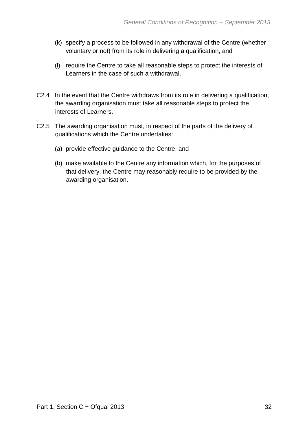- (k) specify a process to be followed in any withdrawal of the Centre (whether voluntary or not) from its role in delivering a qualification, and
- (l) require the Centre to take all reasonable steps to protect the interests of Learners in the case of such a withdrawal.
- C2.4 In the event that the Centre withdraws from its role in delivering a qualification, the awarding organisation must take all reasonable steps to protect the interests of Learners.
- C2.5 The awarding organisation must, in respect of the parts of the delivery of qualifications which the Centre undertakes:
	- (a) provide effective guidance to the Centre, and
	- (b) make available to the Centre any information which, for the purposes of that delivery, the Centre may reasonably require to be provided by the awarding organisation.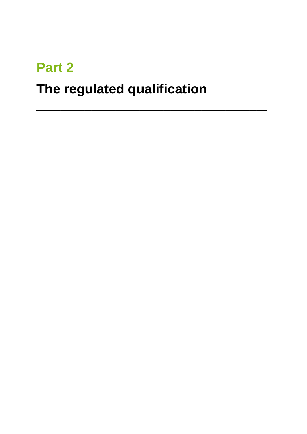# **Part 2 The regulated qualification**

\_\_\_\_\_\_\_\_\_\_\_\_\_\_\_\_\_\_\_\_\_\_\_\_\_\_\_\_\_\_\_\_\_\_\_\_\_\_\_\_\_\_\_\_\_\_\_\_\_\_\_\_\_\_\_\_\_\_\_\_\_\_\_\_\_\_\_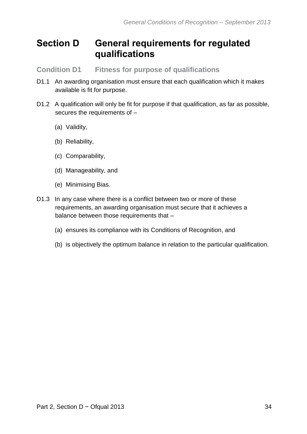### <span id="page-34-0"></span>**Section D General requirements for regulated qualifications**

<span id="page-34-1"></span>**Condition D1 Fitness for purpose of qualifications** 

- D1.1 An awarding organisation must ensure that each qualification which it makes available is fit for purpose.
- D1.2 A qualification will only be fit for purpose if that qualification, as far as possible, secures the requirements of –
	- (a) Validity,
	- (b) Reliability,
	- (c) Comparability,
	- (d) Manageability, and
	- (e) Minimising Bias.
- D1.3 In any case where there is a conflict between two or more of these requirements, an awarding organisation must secure that it achieves a balance between those requirements that –
	- (a) ensures its compliance with its Conditions of Recognition, and
	- (b) is objectively the optimum balance in relation to the particular qualification.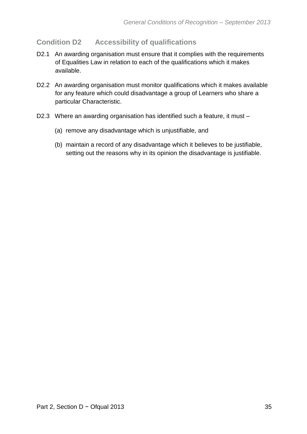#### <span id="page-35-0"></span>**Condition D2 Accessibility of qualifications**

- D2.1 An awarding organisation must ensure that it complies with the requirements of Equalities Law in relation to each of the qualifications which it makes available.
- D2.2 An awarding organisation must monitor qualifications which it makes available for any feature which could disadvantage a group of Learners who share a particular Characteristic.
- D2.3 Where an awarding organisation has identified such a feature, it must
	- (a) remove any disadvantage which is unjustifiable, and
	- (b) maintain a record of any disadvantage which it believes to be justifiable, setting out the reasons why in its opinion the disadvantage is justifiable.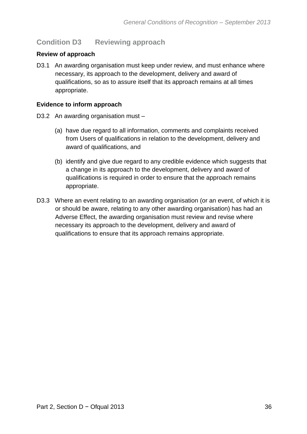## **Condition D3 Reviewing approach**

#### **Review of approach**

D3.1 An awarding organisation must keep under review, and must enhance where necessary, its approach to the development, delivery and award of qualifications, so as to assure itself that its approach remains at all times appropriate.

#### **Evidence to inform approach**

- D3.2 An awarding organisation must
	- (a) have due regard to all information, comments and complaints received from Users of qualifications in relation to the development, delivery and award of qualifications, and
	- (b) identify and give due regard to any credible evidence which suggests that a change in its approach to the development, delivery and award of qualifications is required in order to ensure that the approach remains appropriate.
- D3.3 Where an event relating to an awarding organisation (or an event, of which it is or should be aware, relating to any other awarding organisation) has had an Adverse Effect, the awarding organisation must review and revise where necessary its approach to the development, delivery and award of qualifications to ensure that its approach remains appropriate.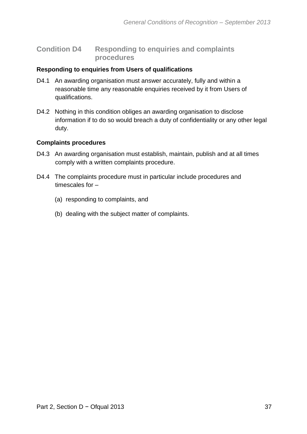### **Condition D4 Responding to enquiries and complaints procedures**

#### **Responding to enquiries from Users of qualifications**

- D4.1 An awarding organisation must answer accurately, fully and within a reasonable time any reasonable enquiries received by it from Users of qualifications.
- D4.2 Nothing in this condition obliges an awarding organisation to disclose information if to do so would breach a duty of confidentiality or any other legal duty.

#### **Complaints procedures**

- D4.3 An awarding organisation must establish, maintain, publish and at all times comply with a written complaints procedure.
- D4.4 The complaints procedure must in particular include procedures and timescales for –
	- (a) responding to complaints, and
	- (b) dealing with the subject matter of complaints.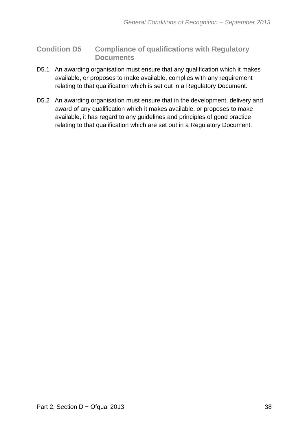## **Condition D5 Compliance of qualifications with Regulatory Documents**

- D5.1 An awarding organisation must ensure that any qualification which it makes available, or proposes to make available, complies with any requirement relating to that qualification which is set out in a Regulatory Document.
- D5.2 An awarding organisation must ensure that in the development, delivery and award of any qualification which it makes available, or proposes to make available, it has regard to any guidelines and principles of good practice relating to that qualification which are set out in a Regulatory Document.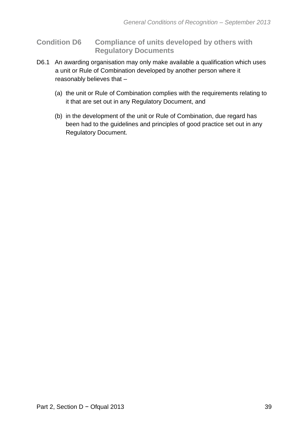## **Condition D6 Compliance of units developed by others with Regulatory Documents**

- D6.1 An awarding organisation may only make available a qualification which uses a unit or Rule of Combination developed by another person where it reasonably believes that –
	- (a) the unit or Rule of Combination complies with the requirements relating to it that are set out in any Regulatory Document, and
	- (b) in the development of the unit or Rule of Combination, due regard has been had to the guidelines and principles of good practice set out in any Regulatory Document.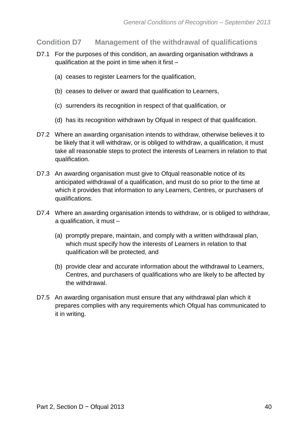**Condition D7 Management of the withdrawal of qualifications** 

- D7.1 For the purposes of this condition, an awarding organisation withdraws a qualification at the point in time when it first –
	- (a) ceases to register Learners for the qualification,
	- (b) ceases to deliver or award that qualification to Learners,
	- (c) surrenders its recognition in respect of that qualification, or
	- (d) has its recognition withdrawn by Ofqual in respect of that qualification.
- D7.2 Where an awarding organisation intends to withdraw, otherwise believes it to be likely that it will withdraw, or is obliged to withdraw, a qualification, it must take all reasonable steps to protect the interests of Learners in relation to that qualification.
- D7.3 An awarding organisation must give to Ofqual reasonable notice of its anticipated withdrawal of a qualification, and must do so prior to the time at which it provides that information to any Learners, Centres, or purchasers of qualifications.
- D7.4 Where an awarding organisation intends to withdraw, or is obliged to withdraw, a qualification, it must –
	- (a) promptly prepare, maintain, and comply with a written withdrawal plan, which must specify how the interests of Learners in relation to that qualification will be protected, and
	- (b) provide clear and accurate information about the withdrawal to Learners, Centres, and purchasers of qualifications who are likely to be affected by the withdrawal.
- D7.5 An awarding organisation must ensure that any withdrawal plan which it prepares complies with any requirements which Ofqual has communicated to it in writing.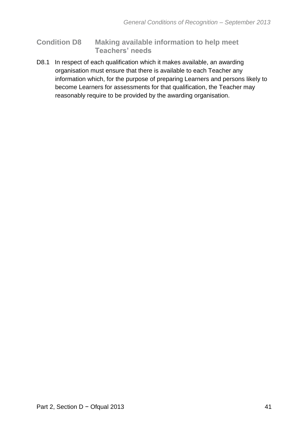## **Condition D8 Making available information to help meet Teachers' needs**

D8.1 In respect of each qualification which it makes available, an awarding organisation must ensure that there is available to each Teacher any information which, for the purpose of preparing Learners and persons likely to become Learners for assessments for that qualification, the Teacher may reasonably require to be provided by the awarding organisation.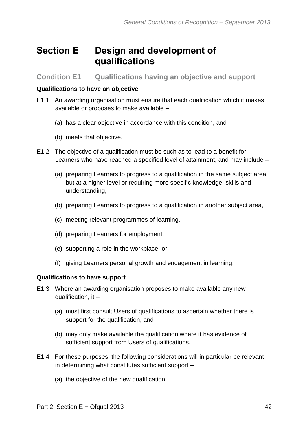## **Section E Design and development of qualifications**

**Condition E1 Qualifications having an objective and support** 

#### **Qualifications to have an objective**

- E1.1 An awarding organisation must ensure that each qualification which it makes available or proposes to make available –
	- (a) has a clear objective in accordance with this condition, and
	- (b) meets that objective.
- E1.2 The objective of a qualification must be such as to lead to a benefit for Learners who have reached a specified level of attainment, and may include –
	- (a) preparing Learners to progress to a qualification in the same subject area but at a higher level or requiring more specific knowledge, skills and understanding,
	- (b) preparing Learners to progress to a qualification in another subject area,
	- (c) meeting relevant programmes of learning,
	- (d) preparing Learners for employment,
	- (e) supporting a role in the workplace, or
	- (f) giving Learners personal growth and engagement in learning.

## **Qualifications to have support**

- E1.3 Where an awarding organisation proposes to make available any new qualification, it –
	- (a) must first consult Users of qualifications to ascertain whether there is support for the qualification, and
	- (b) may only make available the qualification where it has evidence of sufficient support from Users of qualifications.
- E1.4 For these purposes, the following considerations will in particular be relevant in determining what constitutes sufficient support –
	- (a) the objective of the new qualification,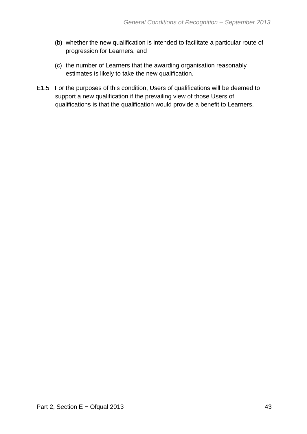- (b) whether the new qualification is intended to facilitate a particular route of progression for Learners, and
- (c) the number of Learners that the awarding organisation reasonably estimates is likely to take the new qualification.
- E1.5 For the purposes of this condition, Users of qualifications will be deemed to support a new qualification if the prevailing view of those Users of qualifications is that the qualification would provide a benefit to Learners.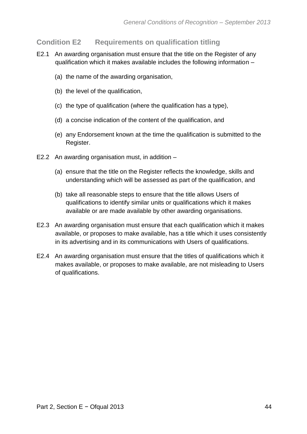## **Condition E2 Requirements on qualification titling**

- E2.1 An awarding organisation must ensure that the title on the Register of any qualification which it makes available includes the following information –
	- (a) the name of the awarding organisation,
	- (b) the level of the qualification,
	- (c) the type of qualification (where the qualification has a type),
	- (d) a concise indication of the content of the qualification, and
	- (e) any Endorsement known at the time the qualification is submitted to the Register.
- E2.2 An awarding organisation must, in addition
	- (a) ensure that the title on the Register reflects the knowledge, skills and understanding which will be assessed as part of the qualification, and
	- (b) take all reasonable steps to ensure that the title allows Users of qualifications to identify similar units or qualifications which it makes available or are made available by other awarding organisations.
- E2.3 An awarding organisation must ensure that each qualification which it makes available, or proposes to make available, has a title which it uses consistently in its advertising and in its communications with Users of qualifications.
- E2.4 An awarding organisation must ensure that the titles of qualifications which it makes available, or proposes to make available, are not misleading to Users of qualifications.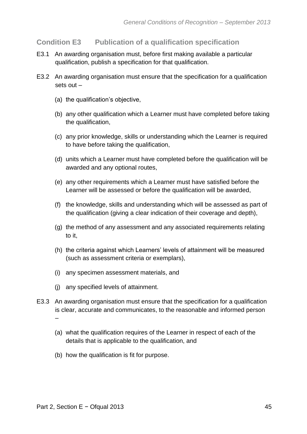## **Condition E3 Publication of a qualification specification**

- E3.1 An awarding organisation must, before first making available a particular qualification, publish a specification for that qualification.
- E3.2 An awarding organisation must ensure that the specification for a qualification sets out –
	- (a) the qualification's objective,
	- (b) any other qualification which a Learner must have completed before taking the qualification,
	- (c) any prior knowledge, skills or understanding which the Learner is required to have before taking the qualification,
	- (d) units which a Learner must have completed before the qualification will be awarded and any optional routes,
	- (e) any other requirements which a Learner must have satisfied before the Learner will be assessed or before the qualification will be awarded,
	- (f) the knowledge, skills and understanding which will be assessed as part of the qualification (giving a clear indication of their coverage and depth),
	- (g) the method of any assessment and any associated requirements relating to it,
	- (h) the criteria against which Learners' levels of attainment will be measured (such as assessment criteria or exemplars),
	- (i) any specimen assessment materials, and
	- (j) any specified levels of attainment.
- E3.3 An awarding organisation must ensure that the specification for a qualification is clear, accurate and communicates, to the reasonable and informed person –
	- (a) what the qualification requires of the Learner in respect of each of the details that is applicable to the qualification, and
	- (b) how the qualification is fit for purpose.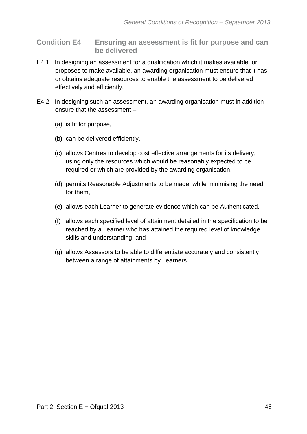- **Condition E4 Ensuring an assessment is fit for purpose and can be delivered**
- E4.1 In designing an assessment for a qualification which it makes available, or proposes to make available, an awarding organisation must ensure that it has or obtains adequate resources to enable the assessment to be delivered effectively and efficiently.
- E4.2 In designing such an assessment, an awarding organisation must in addition ensure that the assessment –
	- (a) is fit for purpose,
	- (b) can be delivered efficiently,
	- (c) allows Centres to develop cost effective arrangements for its delivery, using only the resources which would be reasonably expected to be required or which are provided by the awarding organisation,
	- (d) permits Reasonable Adjustments to be made, while minimising the need for them,
	- (e) allows each Learner to generate evidence which can be Authenticated,
	- (f) allows each specified level of attainment detailed in the specification to be reached by a Learner who has attained the required level of knowledge, skills and understanding, and
	- (g) allows Assessors to be able to differentiate accurately and consistently between a range of attainments by Learners.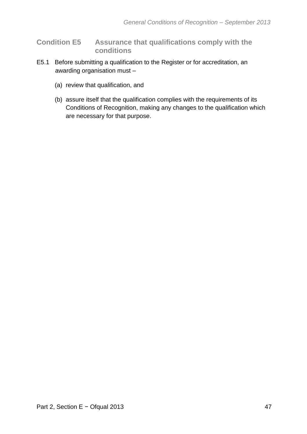## **Condition E5 Assurance that qualifications comply with the conditions**

- E5.1 Before submitting a qualification to the Register or for accreditation, an awarding organisation must –
	- (a) review that qualification, and
	- (b) assure itself that the qualification complies with the requirements of its Conditions of Recognition, making any changes to the qualification which are necessary for that purpose.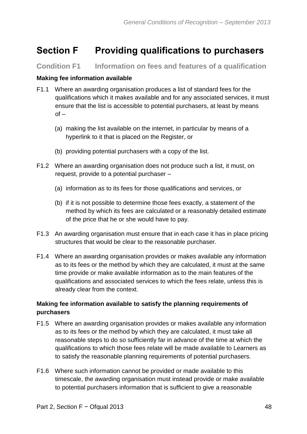# **Section F Providing qualifications to purchasers**

**Condition F1 Information on fees and features of a qualification**

#### **Making fee information available**

- F1.1 Where an awarding organisation produces a list of standard fees for the qualifications which it makes available and for any associated services, it must ensure that the list is accessible to potential purchasers, at least by means  $of -$ 
	- (a) making the list available on the internet, in particular by means of a hyperlink to it that is placed on the Register, or
	- (b) providing potential purchasers with a copy of the list.
- F1.2 Where an awarding organisation does not produce such a list, it must, on request, provide to a potential purchaser –
	- (a) information as to its fees for those qualifications and services, or
	- (b) if it is not possible to determine those fees exactly, a statement of the method by which its fees are calculated or a reasonably detailed estimate of the price that he or she would have to pay.
- F1.3 An awarding organisation must ensure that in each case it has in place pricing structures that would be clear to the reasonable purchaser.
- F1.4 Where an awarding organisation provides or makes available any information as to its fees or the method by which they are calculated, it must at the same time provide or make available information as to the main features of the qualifications and associated services to which the fees relate, unless this is already clear from the context.

## **Making fee information available to satisfy the planning requirements of purchasers**

- F1.5 Where an awarding organisation provides or makes available any information as to its fees or the method by which they are calculated, it must take all reasonable steps to do so sufficiently far in advance of the time at which the qualifications to which those fees relate will be made available to Learners as to satisfy the reasonable planning requirements of potential purchasers.
- F1.6 Where such information cannot be provided or made available to this timescale, the awarding organisation must instead provide or make available to potential purchasers information that is sufficient to give a reasonable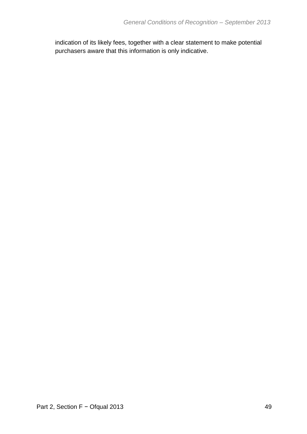indication of its likely fees, together with a clear statement to make potential purchasers aware that this information is only indicative.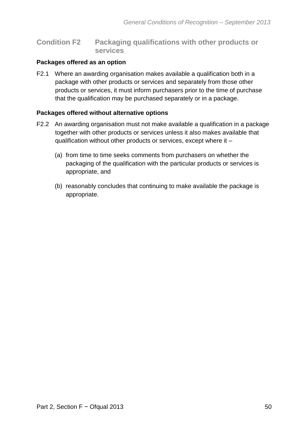#### **Condition F2 Packaging qualifications with other products or services**

#### **Packages offered as an option**

F2.1 Where an awarding organisation makes available a qualification both in a package with other products or services and separately from those other products or services, it must inform purchasers prior to the time of purchase that the qualification may be purchased separately or in a package.

#### **Packages offered without alternative options**

- F2.2 An awarding organisation must not make available a qualification in a package together with other products or services unless it also makes available that qualification without other products or services, except where it –
	- (a) from time to time seeks comments from purchasers on whether the packaging of the qualification with the particular products or services is appropriate, and
	- (b) reasonably concludes that continuing to make available the package is appropriate.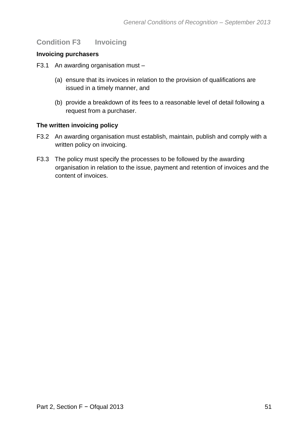## **Condition F3 Invoicing**

#### **Invoicing purchasers**

F3.1 An awarding organisation must –

- (a) ensure that its invoices in relation to the provision of qualifications are issued in a timely manner, and
- (b) provide a breakdown of its fees to a reasonable level of detail following a request from a purchaser.

#### **The written invoicing policy**

- F3.2 An awarding organisation must establish, maintain, publish and comply with a written policy on invoicing.
- F3.3 The policy must specify the processes to be followed by the awarding organisation in relation to the issue, payment and retention of invoices and the content of invoices.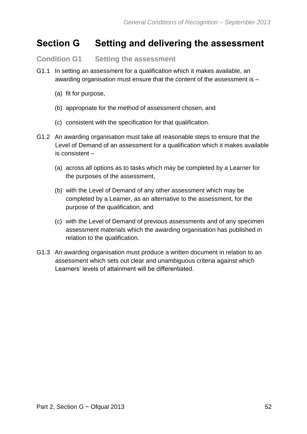## **Section G Setting and delivering the assessment**

**Condition G1 Setting the assessment**

- G1.1 In setting an assessment for a qualification which it makes available, an awarding organisation must ensure that the content of the assessment is –
	- (a) fit for purpose,
	- (b) appropriate for the method of assessment chosen, and
	- (c) consistent with the specification for that qualification.
- G1.2 An awarding organisation must take all reasonable steps to ensure that the Level of Demand of an assessment for a qualification which it makes available is consistent –
	- (a) across all options as to tasks which may be completed by a Learner for the purposes of the assessment,
	- (b) with the Level of Demand of any other assessment which may be completed by a Learner, as an alternative to the assessment, for the purpose of the qualification, and
	- (c) with the Level of Demand of previous assessments and of any specimen assessment materials which the awarding organisation has published in relation to the qualification.
- G1.3 An awarding organisation must produce a written document in relation to an assessment which sets out clear and unambiguous criteria against which Learners' levels of attainment will be differentiated.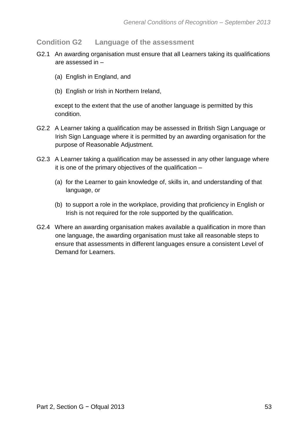#### **Condition G2 Language of the assessment**

- G2.1 An awarding organisation must ensure that all Learners taking its qualifications are assessed in –
	- (a) English in England, and
	- (b) English or Irish in Northern Ireland,

except to the extent that the use of another language is permitted by this condition.

- G2.2 A Learner taking a qualification may be assessed in British Sign Language or Irish Sign Language where it is permitted by an awarding organisation for the purpose of Reasonable Adjustment.
- G2.3 A Learner taking a qualification may be assessed in any other language where it is one of the primary objectives of the qualification –
	- (a) for the Learner to gain knowledge of, skills in, and understanding of that language, or
	- (b) to support a role in the workplace, providing that proficiency in English or Irish is not required for the role supported by the qualification.
- G2.4 Where an awarding organisation makes available a qualification in more than one language, the awarding organisation must take all reasonable steps to ensure that assessments in different languages ensure a consistent Level of Demand for Learners.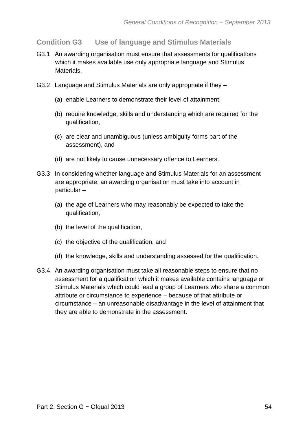## **Condition G3 Use of language and Stimulus Materials**

- G3.1 An awarding organisation must ensure that assessments for qualifications which it makes available use only appropriate language and Stimulus Materials.
- G3.2 Language and Stimulus Materials are only appropriate if they
	- (a) enable Learners to demonstrate their level of attainment,
	- (b) require knowledge, skills and understanding which are required for the qualification,
	- (c) are clear and unambiguous (unless ambiguity forms part of the assessment), and
	- (d) are not likely to cause unnecessary offence to Learners.
- G3.3 In considering whether language and Stimulus Materials for an assessment are appropriate, an awarding organisation must take into account in particular –
	- (a) the age of Learners who may reasonably be expected to take the qualification,
	- (b) the level of the qualification,
	- (c) the objective of the qualification, and
	- (d) the knowledge, skills and understanding assessed for the qualification.
- G3.4 An awarding organisation must take all reasonable steps to ensure that no assessment for a qualification which it makes available contains language or Stimulus Materials which could lead a group of Learners who share a common attribute or circumstance to experience – because of that attribute or circumstance – an unreasonable disadvantage in the level of attainment that they are able to demonstrate in the assessment.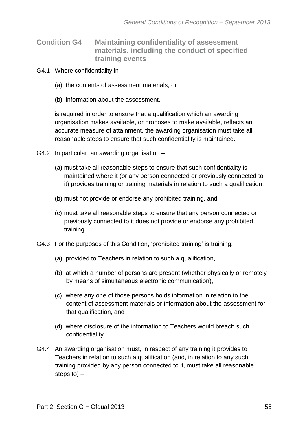- **Condition G4 Maintaining confidentiality of assessment materials, including the conduct of specified training events**
- G4.1 Where confidentiality in
	- (a) the contents of assessment materials, or
	- (b) information about the assessment,

is required in order to ensure that a qualification which an awarding organisation makes available, or proposes to make available, reflects an accurate measure of attainment, the awarding organisation must take all reasonable steps to ensure that such confidentiality is maintained.

- G4.2 In particular, an awarding organisation
	- (a) must take all reasonable steps to ensure that such confidentiality is maintained where it (or any person connected or previously connected to it) provides training or training materials in relation to such a qualification,
	- (b) must not provide or endorse any prohibited training, and
	- (c) must take all reasonable steps to ensure that any person connected or previously connected to it does not provide or endorse any prohibited training.
- G4.3 For the purposes of this Condition, 'prohibited training' is training:
	- (a) provided to Teachers in relation to such a qualification,
	- (b) at which a number of persons are present (whether physically or remotely by means of simultaneous electronic communication),
	- (c) where any one of those persons holds information in relation to the content of assessment materials or information about the assessment for that qualification, and
	- (d) where disclosure of the information to Teachers would breach such confidentiality.
- G4.4 An awarding organisation must, in respect of any training it provides to Teachers in relation to such a qualification (and, in relation to any such training provided by any person connected to it, must take all reasonable steps to) –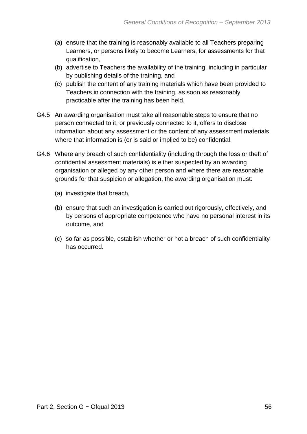- (a) ensure that the training is reasonably available to all Teachers preparing Learners, or persons likely to become Learners, for assessments for that qualification,
- (b) advertise to Teachers the availability of the training, including in particular by publishing details of the training, and
- (c) publish the content of any training materials which have been provided to Teachers in connection with the training, as soon as reasonably practicable after the training has been held.
- G4.5 An awarding organisation must take all reasonable steps to ensure that no person connected to it, or previously connected to it, offers to disclose information about any assessment or the content of any assessment materials where that information is (or is said or implied to be) confidential.
- G4.6 Where any breach of such confidentiality (including through the loss or theft of confidential assessment materials) is either suspected by an awarding organisation or alleged by any other person and where there are reasonable grounds for that suspicion or allegation, the awarding organisation must:
	- (a) investigate that breach,
	- (b) ensure that such an investigation is carried out rigorously, effectively, and by persons of appropriate competence who have no personal interest in its outcome, and
	- (c) so far as possible, establish whether or not a breach of such confidentiality has occurred.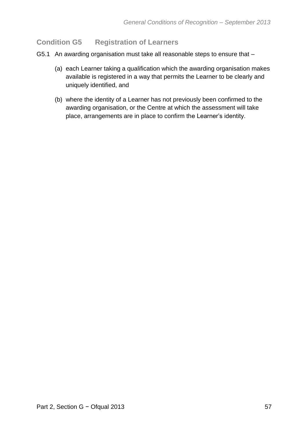## **Condition G5 Registration of Learners**

- G5.1 An awarding organisation must take all reasonable steps to ensure that
	- (a) each Learner taking a qualification which the awarding organisation makes available is registered in a way that permits the Learner to be clearly and uniquely identified, and
	- (b) where the identity of a Learner has not previously been confirmed to the awarding organisation, or the Centre at which the assessment will take place, arrangements are in place to confirm the Learner's identity.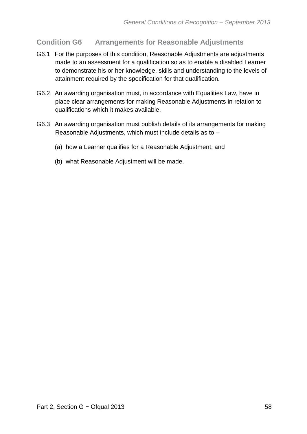## **Condition G6 Arrangements for Reasonable Adjustments**

- G6.1 For the purposes of this condition, Reasonable Adjustments are adjustments made to an assessment for a qualification so as to enable a disabled Learner to demonstrate his or her knowledge, skills and understanding to the levels of attainment required by the specification for that qualification.
- G6.2 An awarding organisation must, in accordance with Equalities Law, have in place clear arrangements for making Reasonable Adjustments in relation to qualifications which it makes available.
- G6.3 An awarding organisation must publish details of its arrangements for making Reasonable Adjustments, which must include details as to –
	- (a) how a Learner qualifies for a Reasonable Adjustment, and
	- (b) what Reasonable Adjustment will be made.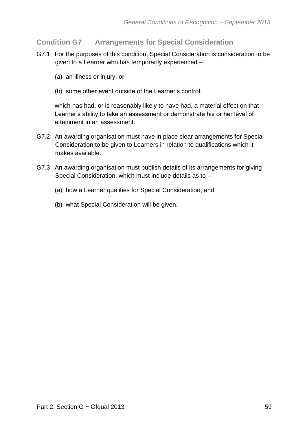## **Condition G7 Arrangements for Special Consideration**

- G7.1 For the purposes of this condition, Special Consideration is consideration to be given to a Learner who has temporarily experienced –
	- (a) an illness or injury, or
	- (b) some other event outside of the Learner's control,

which has had, or is reasonably likely to have had, a material effect on that Learner's ability to take an assessment or demonstrate his or her level of attainment in an assessment.

- G7.2 An awarding organisation must have in place clear arrangements for Special Consideration to be given to Learners in relation to qualifications which it makes available.
- G7.3 An awarding organisation must publish details of its arrangements for giving Special Consideration, which must include details as to –
	- (a) how a Learner qualifies for Special Consideration, and
	- (b) what Special Consideration will be given.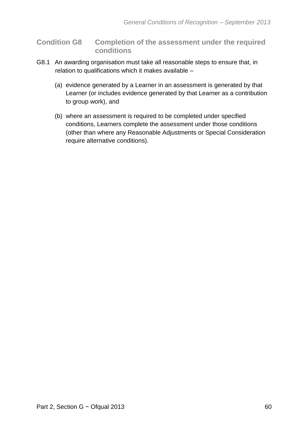**Condition G8 Completion of the assessment under the required conditions** 

- G8.1 An awarding organisation must take all reasonable steps to ensure that, in relation to qualifications which it makes available –
	- (a) evidence generated by a Learner in an assessment is generated by that Learner (or includes evidence generated by that Learner as a contribution to group work), and
	- (b) where an assessment is required to be completed under specified conditions, Learners complete the assessment under those conditions (other than where any Reasonable Adjustments or Special Consideration require alternative conditions).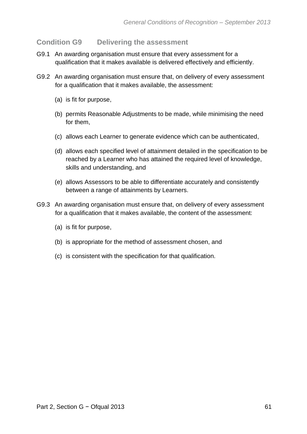### **Condition G9 Delivering the assessment**

- G9.1 An awarding organisation must ensure that every assessment for a qualification that it makes available is delivered effectively and efficiently.
- G9.2 An awarding organisation must ensure that, on delivery of every assessment for a qualification that it makes available, the assessment:
	- (a) is fit for purpose,
	- (b) permits Reasonable Adjustments to be made, while minimising the need for them,
	- (c) allows each Learner to generate evidence which can be authenticated,
	- (d) allows each specified level of attainment detailed in the specification to be reached by a Learner who has attained the required level of knowledge, skills and understanding, and
	- (e) allows Assessors to be able to differentiate accurately and consistently between a range of attainments by Learners.
- G9.3 An awarding organisation must ensure that, on delivery of every assessment for a qualification that it makes available, the content of the assessment:
	- (a) is fit for purpose,
	- (b) is appropriate for the method of assessment chosen, and
	- (c) is consistent with the specification for that qualification.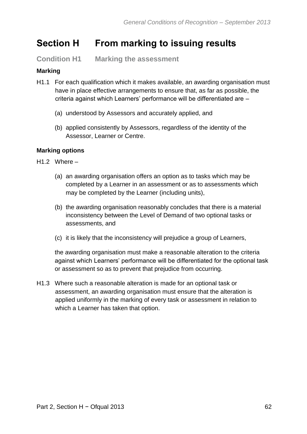# **Section H From marking to issuing results**

**Condition H1 Marking the assessment**

## **Marking**

- H1.1 For each qualification which it makes available, an awarding organisation must have in place effective arrangements to ensure that, as far as possible, the criteria against which Learners' performance will be differentiated are –
	- (a) understood by Assessors and accurately applied, and
	- (b) applied consistently by Assessors, regardless of the identity of the Assessor, Learner or Centre.

#### **Marking options**

- H1.2 Where
	- (a) an awarding organisation offers an option as to tasks which may be completed by a Learner in an assessment or as to assessments which may be completed by the Learner (including units),
	- (b) the awarding organisation reasonably concludes that there is a material inconsistency between the Level of Demand of two optional tasks or assessments, and
	- (c) it is likely that the inconsistency will prejudice a group of Learners,

the awarding organisation must make a reasonable alteration to the criteria against which Learners' performance will be differentiated for the optional task or assessment so as to prevent that prejudice from occurring.

H1.3 Where such a reasonable alteration is made for an optional task or assessment, an awarding organisation must ensure that the alteration is applied uniformly in the marking of every task or assessment in relation to which a Learner has taken that option.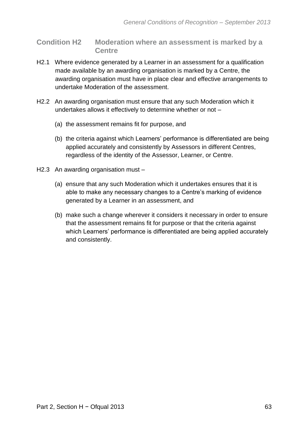**Condition H2 Moderation where an assessment is marked by a Centre**

- H2.1 Where evidence generated by a Learner in an assessment for a qualification made available by an awarding organisation is marked by a Centre, the awarding organisation must have in place clear and effective arrangements to undertake Moderation of the assessment.
- H2.2 An awarding organisation must ensure that any such Moderation which it undertakes allows it effectively to determine whether or not –
	- (a) the assessment remains fit for purpose, and
	- (b) the criteria against which Learners' performance is differentiated are being applied accurately and consistently by Assessors in different Centres, regardless of the identity of the Assessor, Learner, or Centre.
- H2.3 An awarding organisation must
	- (a) ensure that any such Moderation which it undertakes ensures that it is able to make any necessary changes to a Centre's marking of evidence generated by a Learner in an assessment, and
	- (b) make such a change wherever it considers it necessary in order to ensure that the assessment remains fit for purpose or that the criteria against which Learners' performance is differentiated are being applied accurately and consistently.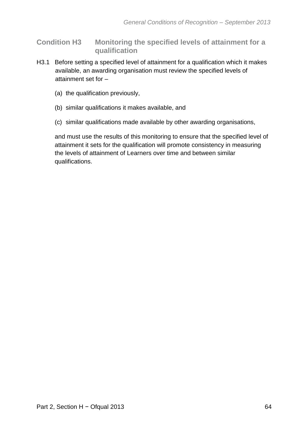## **Condition H3 Monitoring the specified levels of attainment for a qualification**

- H3.1 Before setting a specified level of attainment for a qualification which it makes available, an awarding organisation must review the specified levels of attainment set for –
	- (a) the qualification previously,
	- (b) similar qualifications it makes available, and
	- (c) similar qualifications made available by other awarding organisations,

and must use the results of this monitoring to ensure that the specified level of attainment it sets for the qualification will promote consistency in measuring the levels of attainment of Learners over time and between similar qualifications.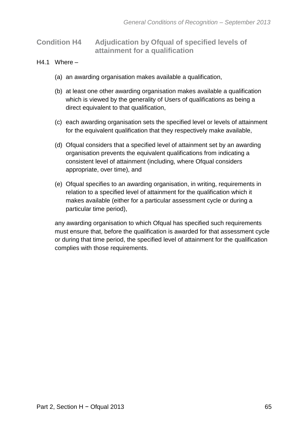## **Condition H4 Adjudication by Ofqual of specified levels of attainment for a qualification**

- $H4.1$  Where  $-$ 
	- (a) an awarding organisation makes available a qualification,
	- (b) at least one other awarding organisation makes available a qualification which is viewed by the generality of Users of qualifications as being a direct equivalent to that qualification,
	- (c) each awarding organisation sets the specified level or levels of attainment for the equivalent qualification that they respectively make available,
	- (d) Ofqual considers that a specified level of attainment set by an awarding organisation prevents the equivalent qualifications from indicating a consistent level of attainment (including, where Ofqual considers appropriate, over time), and
	- (e) Ofqual specifies to an awarding organisation, in writing, requirements in relation to a specified level of attainment for the qualification which it makes available (either for a particular assessment cycle or during a particular time period),

any awarding organisation to which Ofqual has specified such requirements must ensure that, before the qualification is awarded for that assessment cycle or during that time period, the specified level of attainment for the qualification complies with those requirements.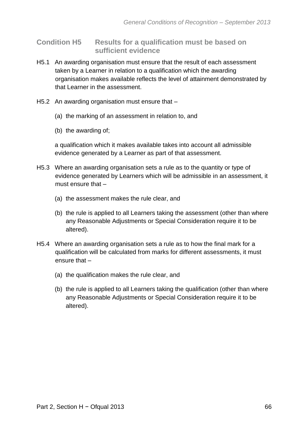### **Condition H5 Results for a qualification must be based on sufficient evidence**

- H5.1 An awarding organisation must ensure that the result of each assessment taken by a Learner in relation to a qualification which the awarding organisation makes available reflects the level of attainment demonstrated by that Learner in the assessment.
- H5.2 An awarding organisation must ensure that
	- (a) the marking of an assessment in relation to, and
	- (b) the awarding of;

a qualification which it makes available takes into account all admissible evidence generated by a Learner as part of that assessment.

- H5.3 Where an awarding organisation sets a rule as to the quantity or type of evidence generated by Learners which will be admissible in an assessment, it must ensure that –
	- (a) the assessment makes the rule clear, and
	- (b) the rule is applied to all Learners taking the assessment (other than where any Reasonable Adjustments or Special Consideration require it to be altered).
- H5.4 Where an awarding organisation sets a rule as to how the final mark for a qualification will be calculated from marks for different assessments, it must ensure that –
	- (a) the qualification makes the rule clear, and
	- (b) the rule is applied to all Learners taking the qualification (other than where any Reasonable Adjustments or Special Consideration require it to be altered).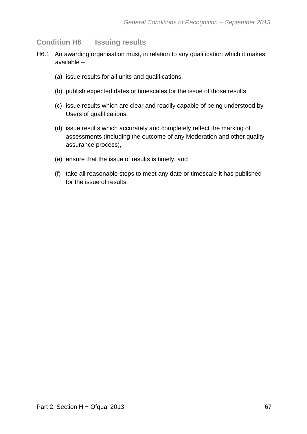## **Condition H6 Issuing results**

- H6.1 An awarding organisation must, in relation to any qualification which it makes available –
	- (a) issue results for all units and qualifications,
	- (b) publish expected dates or timescales for the issue of those results,
	- (c) issue results which are clear and readily capable of being understood by Users of qualifications,
	- (d) issue results which accurately and completely reflect the marking of assessments (including the outcome of any Moderation and other quality assurance process),
	- (e) ensure that the issue of results is timely, and
	- (f) take all reasonable steps to meet any date or timescale it has published for the issue of results.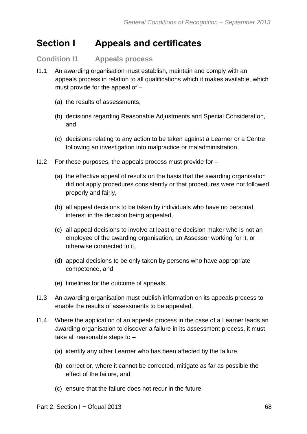# **Section I Appeals and certificates**

**Condition I1 Appeals process**

- I1.1 An awarding organisation must establish, maintain and comply with an appeals process in relation to all qualifications which it makes available, which must provide for the appeal of –
	- (a) the results of assessments,
	- (b) decisions regarding Reasonable Adjustments and Special Consideration, and
	- (c) decisions relating to any action to be taken against a Learner or a Centre following an investigation into malpractice or maladministration.
- I1.2 For these purposes, the appeals process must provide for
	- (a) the effective appeal of results on the basis that the awarding organisation did not apply procedures consistently or that procedures were not followed properly and fairly,
	- (b) all appeal decisions to be taken by individuals who have no personal interest in the decision being appealed,
	- (c) all appeal decisions to involve at least one decision maker who is not an employee of the awarding organisation, an Assessor working for it, or otherwise connected to it,
	- (d) appeal decisions to be only taken by persons who have appropriate competence, and
	- (e) timelines for the outcome of appeals.
- I1.3 An awarding organisation must publish information on its appeals process to enable the results of assessments to be appealed.
- I1.4 Where the application of an appeals process in the case of a Learner leads an awarding organisation to discover a failure in its assessment process, it must take all reasonable steps to –
	- (a) identify any other Learner who has been affected by the failure,
	- (b) correct or, where it cannot be corrected, mitigate as far as possible the effect of the failure, and
	- (c) ensure that the failure does not recur in the future.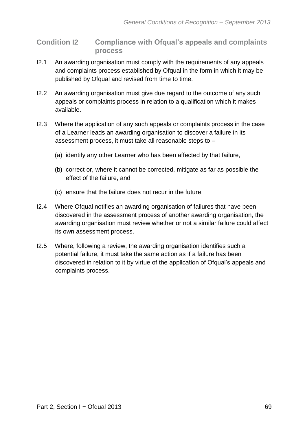**Condition I2 Compliance with Ofqual's appeals and complaints process**

- I2.1 An awarding organisation must comply with the requirements of any appeals and complaints process established by Ofqual in the form in which it may be published by Ofqual and revised from time to time.
- I2.2 An awarding organisation must give due regard to the outcome of any such appeals or complaints process in relation to a qualification which it makes available.
- I2.3 Where the application of any such appeals or complaints process in the case of a Learner leads an awarding organisation to discover a failure in its assessment process, it must take all reasonable steps to –
	- (a) identify any other Learner who has been affected by that failure,
	- (b) correct or, where it cannot be corrected, mitigate as far as possible the effect of the failure, and
	- (c) ensure that the failure does not recur in the future.
- I2.4 Where Ofqual notifies an awarding organisation of failures that have been discovered in the assessment process of another awarding organisation, the awarding organisation must review whether or not a similar failure could affect its own assessment process.
- I2.5 Where, following a review, the awarding organisation identifies such a potential failure, it must take the same action as if a failure has been discovered in relation to it by virtue of the application of Ofqual's appeals and complaints process.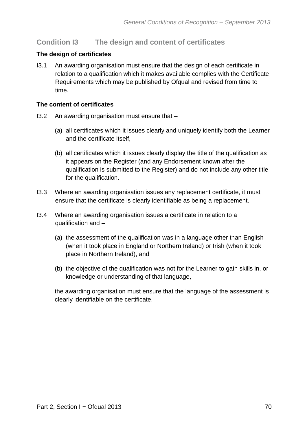## **Condition I3 The design and content of certificates**

#### **The design of certificates**

I3.1 An awarding organisation must ensure that the design of each certificate in relation to a qualification which it makes available complies with the Certificate Requirements which may be published by Ofqual and revised from time to time.

#### **The content of certificates**

- I3.2 An awarding organisation must ensure that
	- (a) all certificates which it issues clearly and uniquely identify both the Learner and the certificate itself,
	- (b) all certificates which it issues clearly display the title of the qualification as it appears on the Register (and any Endorsement known after the qualification is submitted to the Register) and do not include any other title for the qualification.
- I3.3 Where an awarding organisation issues any replacement certificate, it must ensure that the certificate is clearly identifiable as being a replacement.
- I3.4 Where an awarding organisation issues a certificate in relation to a qualification and –
	- (a) the assessment of the qualification was in a language other than English (when it took place in England or Northern Ireland) or Irish (when it took place in Northern Ireland), and
	- (b) the objective of the qualification was not for the Learner to gain skills in, or knowledge or understanding of that language,

the awarding organisation must ensure that the language of the assessment is clearly identifiable on the certificate.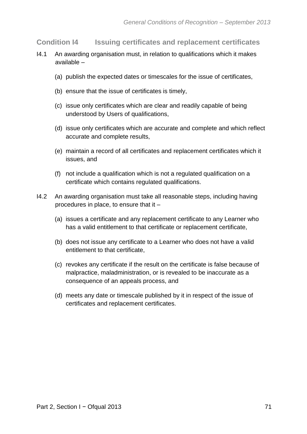**Condition I4 Issuing certificates and replacement certificates**

- I4.1 An awarding organisation must, in relation to qualifications which it makes available –
	- (a) publish the expected dates or timescales for the issue of certificates,
	- (b) ensure that the issue of certificates is timely,
	- (c) issue only certificates which are clear and readily capable of being understood by Users of qualifications,
	- (d) issue only certificates which are accurate and complete and which reflect accurate and complete results,
	- (e) maintain a record of all certificates and replacement certificates which it issues, and
	- (f) not include a qualification which is not a regulated qualification on a certificate which contains regulated qualifications.
- I4.2 An awarding organisation must take all reasonable steps, including having procedures in place, to ensure that it –
	- (a) issues a certificate and any replacement certificate to any Learner who has a valid entitlement to that certificate or replacement certificate,
	- (b) does not issue any certificate to a Learner who does not have a valid entitlement to that certificate,
	- (c) revokes any certificate if the result on the certificate is false because of malpractice, maladministration, or is revealed to be inaccurate as a consequence of an appeals process, and
	- (d) meets any date or timescale published by it in respect of the issue of certificates and replacement certificates.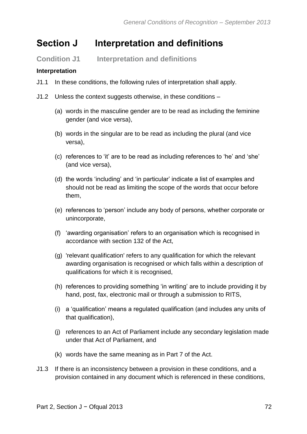# **Section J Interpretation and definitions**

**Condition J1 Interpretation and definitions**

## **Interpretation**

- J1.1 In these conditions, the following rules of interpretation shall apply.
- J1.2 Unless the context suggests otherwise, in these conditions
	- (a) words in the masculine gender are to be read as including the feminine gender (and vice versa),
	- (b) words in the singular are to be read as including the plural (and vice versa),
	- (c) references to 'it' are to be read as including references to 'he' and 'she' (and vice versa),
	- (d) the words 'including' and 'in particular' indicate a list of examples and should not be read as limiting the scope of the words that occur before them,
	- (e) references to 'person' include any body of persons, whether corporate or unincorporate,
	- (f) 'awarding organisation' refers to an organisation which is recognised in accordance with section 132 of the Act,
	- (g) 'relevant qualification' refers to any qualification for which the relevant awarding organisation is recognised or which falls within a description of qualifications for which it is recognised,
	- (h) references to providing something 'in writing' are to include providing it by hand, post, fax, electronic mail or through a submission to RITS,
	- (i) a 'qualification' means a regulated qualification (and includes any units of that qualification),
	- (j) references to an Act of Parliament include any secondary legislation made under that Act of Parliament, and
	- (k) words have the same meaning as in Part 7 of the Act.
- J1.3 If there is an inconsistency between a provision in these conditions, and a provision contained in any document which is referenced in these conditions,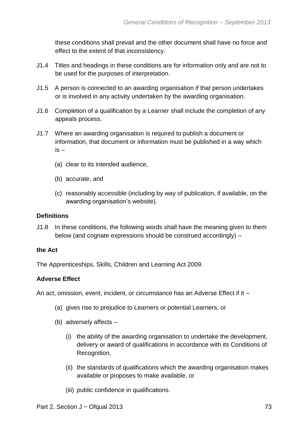these conditions shall prevail and the other document shall have no force and effect to the extent of that inconsistency.

- J1.4 Titles and headings in these conditions are for information only and are not to be used for the purposes of interpretation.
- J1.5 A person is connected to an awarding organisation if that person undertakes or is involved in any activity undertaken by the awarding organisation.
- J1.6 Completion of a qualification by a Learner shall include the completion of any appeals process.
- J1.7 Where an awarding organisation is required to publish a document or information, that document or information must be published in a way which is –
	- (a) clear to its intended audience,
	- (b) accurate, and
	- (c) reasonably accessible (including by way of publication, if available, on the awarding organisation's website).

#### **Definitions**

J1.8 In these conditions, the following words shall have the meaning given to them below (and cognate expressions should be construed accordingly) –

#### **the Act**

The Apprenticeships, Skills, Children and Learning Act 2009.

#### **Adverse Effect**

An act, omission, event, incident, or circumstance has an Adverse Effect if it –

- (a) gives rise to prejudice to Learners or potential Learners, or
- (b) adversely affects
	- (i) the ability of the awarding organisation to undertake the development, delivery or award of qualifications in accordance with its Conditions of Recognition,
	- (ii) the standards of qualifications which the awarding organisation makes available or proposes to make available, or
	- (iii) public confidence in qualifications.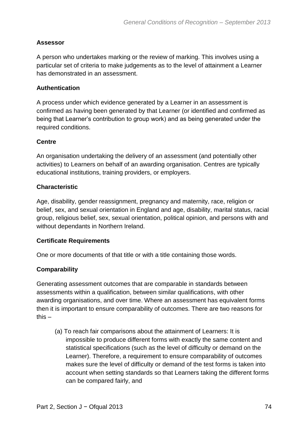## **Assessor**

A person who undertakes marking or the review of marking. This involves using a particular set of criteria to make judgements as to the level of attainment a Learner has demonstrated in an assessment.

#### **Authentication**

A process under which evidence generated by a Learner in an assessment is confirmed as having been generated by that Learner (or identified and confirmed as being that Learner's contribution to group work) and as being generated under the required conditions.

## **Centre**

An organisation undertaking the delivery of an assessment (and potentially other activities) to Learners on behalf of an awarding organisation. Centres are typically educational institutions, training providers, or employers.

## **Characteristic**

Age, disability, gender reassignment, pregnancy and maternity, race, religion or belief, sex, and sexual orientation in England and age, disability, marital status, racial group, religious belief, sex, sexual orientation, political opinion, and persons with and without dependants in Northern Ireland.

# **Certificate Requirements**

One or more documents of that title or with a title containing those words.

# **Comparability**

Generating assessment outcomes that are comparable in standards between assessments within a qualification, between similar qualifications, with other awarding organisations, and over time. Where an assessment has equivalent forms then it is important to ensure comparability of outcomes. There are two reasons for this –

(a) To reach fair comparisons about the attainment of Learners: It is impossible to produce different forms with exactly the same content and statistical specifications (such as the level of difficulty or demand on the Learner). Therefore, a requirement to ensure comparability of outcomes makes sure the level of difficulty or demand of the test forms is taken into account when setting standards so that Learners taking the different forms can be compared fairly, and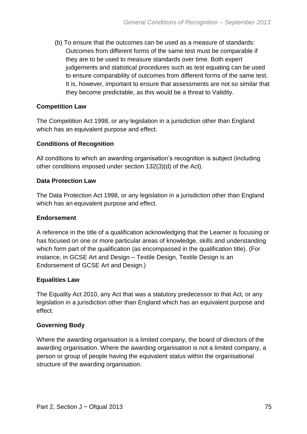(b) To ensure that the outcomes can be used as a measure of standards: Outcomes from different forms of the same test must be comparable if they are to be used to measure standards over time. Both expert judgements and statistical procedures such as test equating can be used to ensure comparability of outcomes from different forms of the same test. It is, however, important to ensure that assessments are not so similar that they become predictable, as this would be a threat to Validity.

## **Competition Law**

The Competition Act 1998, or any legislation in a jurisdiction other than England which has an equivalent purpose and effect.

# **Conditions of Recognition**

All conditions to which an awarding organisation's recognition is subject (including other conditions imposed under section 132(3)(d) of the Act).

## **Data Protection Law**

The Data Protection Act 1998, or any legislation in a jurisdiction other than England which has an equivalent purpose and effect.

#### **Endorsement**

A reference in the title of a qualification acknowledging that the Learner is focusing or has focused on one or more particular areas of knowledge, skills and understanding which form part of the qualification (as encompassed in the qualification title). (For instance, in GCSE Art and Design – Textile Design, Textile Design is an Endorsement of GCSE Art and Design.)

#### **Equalities Law**

The Equality Act 2010, any Act that was a statutory predecessor to that Act, or any legislation in a jurisdiction other than England which has an equivalent purpose and effect.

# **Governing Body**

Where the awarding organisation is a limited company, the board of directors of the awarding organisation. Where the awarding organisation is not a limited company, a person or group of people having the equivalent status within the organisational structure of the awarding organisation.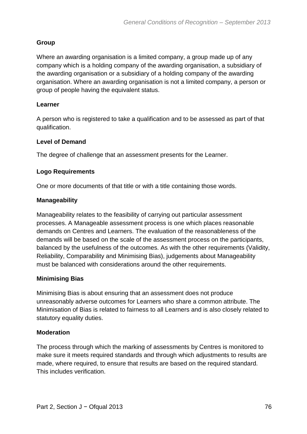# **Group**

Where an awarding organisation is a limited company, a group made up of any company which is a holding company of the awarding organisation, a subsidiary of the awarding organisation or a subsidiary of a holding company of the awarding organisation. Where an awarding organisation is not a limited company, a person or group of people having the equivalent status.

# **Learner**

A person who is registered to take a qualification and to be assessed as part of that qualification.

# **Level of Demand**

The degree of challenge that an assessment presents for the Learner. **69** 

# **Logo Requirements**

One or more documents of that title or with a title containing those words.

# **Manageability**

Manageability relates to the feasibility of carrying out particular assessment processes. A Manageable assessment process is one which places reasonable demands on Centres and Learners. The evaluation of the reasonableness of the demands will be based on the scale of the assessment process on the participants, balanced by the usefulness of the outcomes. As with the other requirements (Validity, Reliability, Comparability and Minimising Bias), judgements about Manageability must be balanced with considerations around the other requirements.

# **Minimising Bias**

Minimising Bias is about ensuring that an assessment does not produce unreasonably adverse outcomes for Learners who share a common attribute. The Minimisation of Bias is related to fairness to all Learners and is also closely related to statutory equality duties.

# **Moderation**

The process through which the marking of assessments by Centres is monitored to make sure it meets required standards and through which adjustments to results are made, where required, to ensure that results are based on the required standard. This includes verification.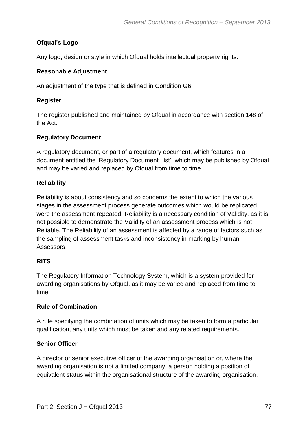# **Ofqual's Logo**

Any logo, design or style in which Ofqual holds intellectual property rights.

# **Reasonable Adjustment**

An adjustment of the type that is defined in Condition G6.

## **Register**

The register published and maintained by Ofqual in accordance with section 148 of the Act.

# **Regulatory Document**

A regulatory document, or part of a regulatory document, which features in a document entitled the 'Regulatory Document List', which may be published by Ofqual and may be varied and replaced by Ofqual from time to time.

# **Reliability**

Reliability is about consistency and so concerns the extent to which the various stages in the assessment process generate outcomes which would be replicated were the assessment repeated. Reliability is a necessary condition of Validity, as it is not possible to demonstrate the Validity of an assessment process which is not Reliable. The Reliability of an assessment is affected by a range of factors such as the sampling of assessment tasks and inconsistency in marking by human Assessors.

# **RITS**

The Regulatory Information Technology System, which is a system provided for awarding organisations by Ofqual, as it may be varied and replaced from time to time.

# **Rule of Combination**

A rule specifying the combination of units which may be taken to form a particular qualification, any units which must be taken and any related requirements.

# **Senior Officer**

A director or senior executive officer of the awarding organisation or, where the awarding organisation is not a limited company, a person holding a position of equivalent status within the organisational structure of the awarding organisation.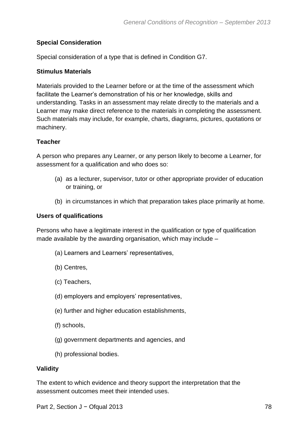# **Special Consideration**

Special consideration of a type that is defined in Condition G7.

## **Stimulus Materials**

Materials provided to the Learner before or at the time of the assessment which facilitate the Learner's demonstration of his or her knowledge, skills and understanding. Tasks in an assessment may relate directly to the materials and a Learner may make direct reference to the materials in completing the assessment. Such materials may include, for example, charts, diagrams, pictures, quotations or machinery.

## **Teacher**

A person who prepares any Learner, or any person likely to become a Learner, for assessment for a qualification and who does so:

- (a) as a lecturer, supervisor, tutor or other appropriate provider of education or training, or
- (b) in circumstances in which that preparation takes place primarily at home.

## **Users of qualifications**

Persons who have a legitimate interest in the qualification or type of qualification made available by the awarding organisation, which may include –

- (a) Learners and Learners' representatives,
- (b) Centres,
- (c) Teachers,
- (d) employers and employers' representatives,
- (e) further and higher education establishments,
- (f) schools,
- (g) government departments and agencies, and
- (h) professional bodies.

# **Validity**

The extent to which evidence and theory support the interpretation that the assessment outcomes meet their intended uses.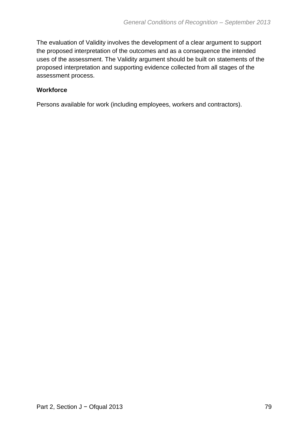The evaluation of Validity involves the development of a clear argument to support the proposed interpretation of the outcomes and as a consequence the intended uses of the assessment. The Validity argument should be built on statements of the proposed interpretation and supporting evidence collected from all stages of the assessment process.

# **Workforce**

Persons available for work (including employees, workers and contractors).